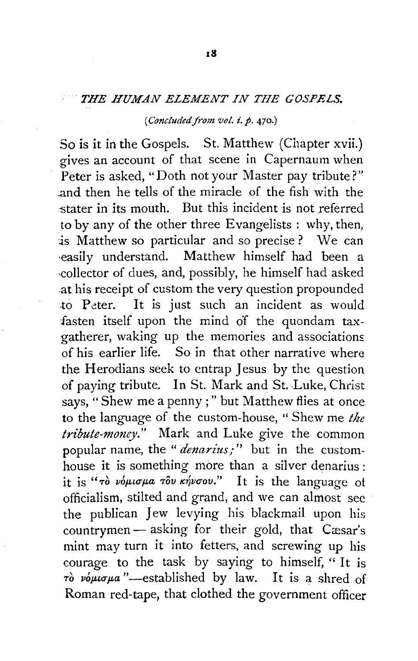## THE HUMAN ELEMENT IN THE GOSPELS.

### *(Concluded from vol.* i.p. 470.)

So is it in the Gospels. St. Matthew (Chapter xvii.) gives an account of that scene in Capernaum when Peter is asked, "Doth not your Master pay tribute?" ..and then he tells of the miracle of the fish with the stater in its mouth. But this incident is not referred to by any of the other three Evangelists : why, then, is Matthew so particular and so precise ? We can ·easily understand. Matthew himself had been a -collector of dues, and, possibly, he himself had asked at his receipt of custom the very question propounded to Peter. It is just such an incident as would fasten itself upon the mind of the quondam taxgatherer, waking up the memories and associations of his earlier life. So in that other narrative where the Herodians seek to entrap Jesus by the question of paying tribute. In St. Mark and St. Luke, Christ says, "Shew me a penny ; " but Matthew flies at once to the language of the custom-house, " Shew me *the tribute-money."* Mark and Luke give the common popular name, the "*denarius;*" but in the customhouse it is something more than a silver denarius : it is "*ro voµlo pa rov knvoov.*" It is the language of officialism, stilted and grand, and we can almost see the publican Jew levying his blackmail upon his countrymen - asking for their gold, that Cæsar's mint may turn it into fetters, and screwing up his courage to the task by saying to himself, " It is  $\vec{r}$  *v*opus  $\mu a$  "-established by law. It is a shred of Roman red-tape, that clothed the government officer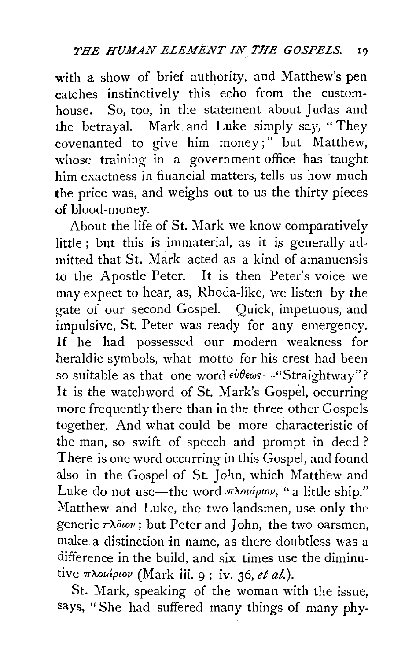with a show of brief authority, and Matthew's pen catches instinctively this echo from the customhouse. So, too, in the statement about Judas and the betrayal. Mark and Luke simply say, " They covenanted to give him money;" but Matthew, whose training in a government-office has taught him exactness in financial matters, tells us how much the price was, and weighs out to us the thirty pieces of blood-money.

About the life of St. Mark we know comparatively little ; but this is immaterial, as it is generally admitted that St. Mark acted as a kind of amanuensis to the Apostle Peter. It is then Peter's voice we may expect to hear, as, Rhoda-like, we listen by the gate of our second Gospel. Quick, impetuous, and impulsive, St. Peter was ready for any emergency. If he had possessed our modern weakness for heraldic symbols, what motto for his crest had been so suitable as that one word εύθεως—"Straightway"? It is the watchword of St. Mark's Gospel, occurring more frequently there than in the three other Gospels together. And what could be more characteristic of the man, so swift of speech and prompt in deed? There is one word occurring in this Gospel, and found also in the Gospel of St. John, which Matthew and Luke do not use—the word  $\pi\lambda$ ouápiov, "a little ship." Matthew and Luke, the two landsmen, use only the generic  $\pi\lambda\delta\omega$ ; but Peter and John, the two oarsmen, make a distinction in name, as there doubtless was a difference in the build, and six times use the diminutive πλοιάριον (Mark iii. 9; iv. 36, et al.).

St. Mark, speaking of the woman with the issue, says, "She had suffered many things of many phy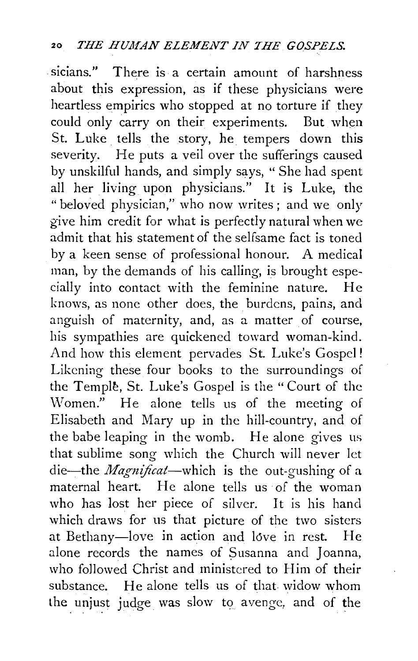sicians." There is a certain amount of harshness about this expression, as if these physicians were heartless empirics who stopped at no torture if they could only carry on their experiments. But when St. Luke. tells the story, he tempers down this severity. He puts a veil over the sufferings caused by unskilful hands, and simply says, " She had spent all her living upon physicians." It is Luke, the "beloved physician," who now writes; and we only give him credit for what is perfectly natural when we admit that his statement of the selfsame fact is toned by a keen sense of professional honour. A medical man, by the demands of his calling, is brought especially into contact with the feminine nature. He knows, as none other does, the burdens, pains, and anguish of maternity, and, as a matter of course, his sympathies are quickened toward woman-kind. And how this element pervades St. Luke's Gospel! Likening these four books to the surroundings of the Temple, St. Luke's Gospel is the "Court of the Women." He alone tells us of the meeting of Elisabeth and Mary up in the hill-country, and of the babe leaping in the womb. He alone gives us that sublime song which the Church will never let die--the *Magnificat*--which is the out-gushing of a maternal heart. He alone tells us of the woman who has lost her piece of silver. It is his hand which draws for us that picture of the two sisters at Bethany-love in action and love in rest. He alone records the names of Susanna and Joanna, who followed Christ and ministered to Him of their substance. He alone tells us of that widow whom the unjust judge was slow to avenge, and of the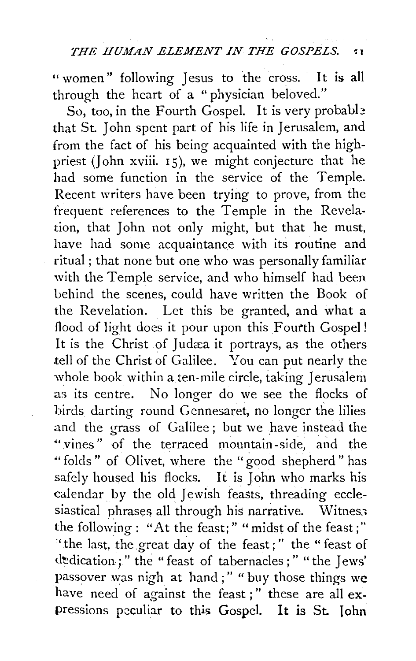" women" following Jesus to the cross. It is all through the heart of a "physician beloved."

So, too, in the Fourth Gospel. It is very probable that St. John spent part of his life in Jerusalem, and from the fact of his being acquainted with the highpriest (John xviii.  $15$ ), we might conjecture that he had some function in the service of the Temple. Recent writers have been trying to prove, from the frequent references to the Temple in the Revelation, that John not only might, but that he must, have had some acquaintance with its routine and ritual; that none but one who was personally familiar with the Temple service, and who himself had been behind the scenes, could have written the Book of the Revelation. Let this be granted, and what a flood of light does it pour upon this Fourth Gospel ! It is the Christ of Judæa it portrays, as the others .tell of the Christ of Galilee. You can put nearly the whole book within a ten-mile circle, taking Jerusalem as its centre. No longer do we see the flocks of birds darting round Gennesaret, no longer the lilies and the grass of Galilee; but we have instead the "vines" of the terraced mountain-side, and the "folds" of Olivet, where the "good shepherd" has safely housed his flocks. It is John who marks his calendar by the old Jewish feasts, threading ecclesiastical phrases all through his narrative. Witness the following : "At the feast; " " midst of the feast ; " "the last, the great day of the feast;" the "feast of dedication;" the "feast of tabernacles;" "the Jews' passover was nigh at hand;" " buy those things we have need of against the feast;" these are all expressions peculiar to this Gospel. It is St. John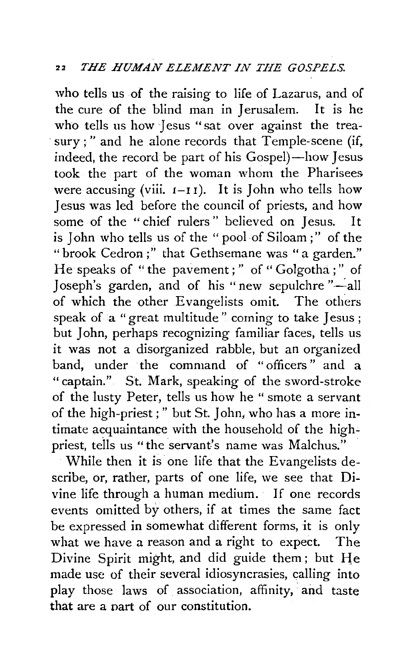who tells us of the raising to life of Lazarus, and of the cure of the blind man in Jerusalem. It is he who tells us how Jesus "sat over against the treasury;" and he alone records that Temple-scene (if, indeed, the record be part of his Gospel)-how Jesus took the part of the woman whom the Pharisees were accusing (viii.  $I-I I$ ). It is John who tells how Jesus was led before the council of priests, and how some of the " chief rulers " believed on Jesus. It is John who tells us of the "pool of Siloam ;" of the "brook Cedron ;" that Gethsemane was "a garden." He speaks of "the pavement ; " of " Golgotha ; " of Joseph's garden, and of his "new sepulchre "-all of which the other Evangelists omit. The others speak of a "great multitude" coming to take Jesus ; but John, perhaps recognizing familiar faces, tells us it was not a disorganized rabble, but an organized band, under the command of " officers " and a "captain." St. Mark, speaking of the sword-stroke of the lusty Peter, tells us how he "smote a servant of the high-priest;" but St. John, who has a more intimate acquaintance with the household of the highpriest, tells us "the servant's name was Malchus."

While then it is one life that the Evangelists describe, or, rather, parts of one life, we see that Divine life through a human medium. If one records events omitted by others, if at times the same fact be expressed in somewhat different forms, it is only what we have a reason and a right to expect. The Divine Spirit might, and did guide them; but He made use of their several idiosyncrasies, calling into play those laws of association, affinity, and taste **that** are a nart of our constitution.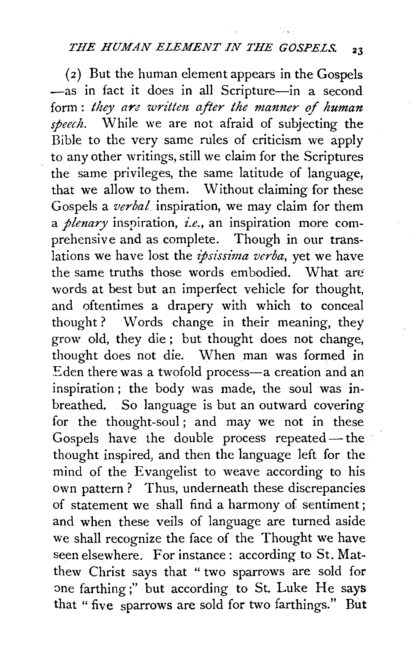# *THE HUMAN ELEMENT IN THE GOSPELS.* <sup>23</sup>

(2) But the human element appears in the Gospels -as in fact it does in all Scripture-in a second form: *they are written after the manner of human* speech. While we are not afraid of subjecting the Bible to the very same rules of criticism we apply to any other writings, still we claim for the Scriptures the same privileges, the same latitude of language, that we allow to them. Without claiming for these Gospels a *verbal* inspiration, we may claim for them a *plenary* inspiration, *i.e.,* an inspiration more comprehensive and as complete. Though in our translations we have lost the *ipsissima verba,* yet we have the same truths those words embodied. What are words at best but an imperfect vehicle for thought, and oftentimes a drapery with which to conceal thought ? Words change in their meaning, they grow old, they die ; but thought does not change, thought does not die. When man was formed in Eden there was a twofold process-a creation and an inspiration ; the body was made, the soul was inbreathed. So language is but an outward covering for the thought-soul; and may we not in these Gospels have the double process repeated- the thought inspired, and then the language left for the mind of the Evangelist to weave according to his own pattern ? Thus, underneath these discrepancies of statement we shall find a harmony of sentiment; and when these veils of language are turned aside we shall recognize the face of the Thought we have seen elsewhere. For instance: according to St. Matthew Christ says that " two sparrows are sold for one farthing;" but according to St. Luke He says that "five sparrows are sold for two farthings." But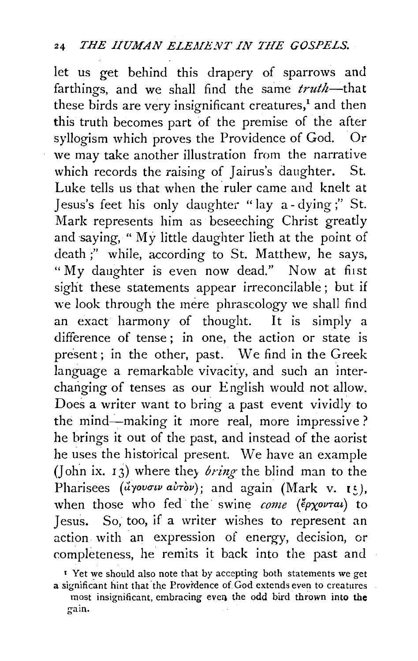let us get behind this drapery of sparrows and farthings, and we shall find the same *truth*-that these birds are very insignificant creatures,<sup>1</sup> and then this truth becomes part of the premise of the after syllogism which proves the Providence of God. Or we may take another illustration from the narrative which records the raising of Jairus's daughter. St. Luke tells us that when the ruler came and knelt at Jesus's feet his only daughter "lay a- dying;" St. Mark represents him as beseeching Christ greatly and saying, "My little daughter lieth at the point of death ;" while, according to St. Matthew, he says, "My daughter is even now dead." Now at first sight these statements appear irreconcilable ; but if we look through the mere phraseology we shall find an exact harmony of thought. It is simply a difference of tense ; in one, the action or state is present; in the other, past. We find in the Greek language a remarkable vivacity, and such an interchanging of tenses as our English would not allow. Does a writer want to bring a past event vividly to the mind-making it more real, more impressive? he brings it out of the past, and instead of the aorist he uses the historical present. We have an example (John ix. 13) where they *bring* the blind man to the Pharisees *(uyovouv airov*); and again *(Mark v. 15)*, when those who fed the swine *come (epxovral*) to Jesus. So, too, if a writer wishes to represent an action. with an expression of energy, decision, or completeness, he remits it back into the past and

<sup>•</sup> Yet we should also note that by accepting both statements we get a significant hint that' the Provrdence of God extends even to creatures most insignificant, embracing even the odd bird thrown into the gain.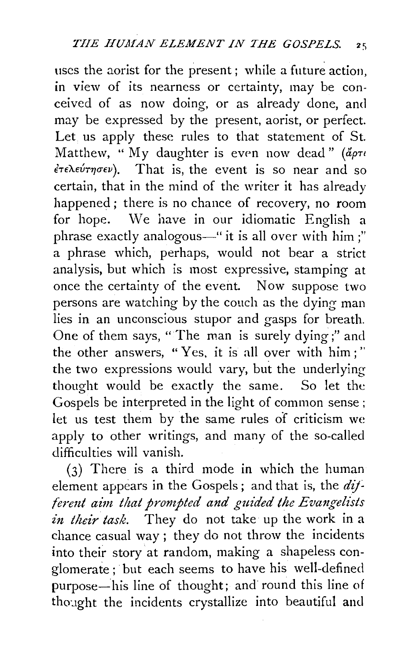uses the aorist for the present; while a future action, in view of its nearness or certainty, may be conceived of as now doing, or as already done, and may be expressed by the present, aorist, or perfect. Let. us apply these rules to that statement of St. Matthew, " My daughter is even now dead" (apti  $\epsilon \tau \epsilon \lambda \epsilon \nu \tau \eta \sigma \epsilon \nu$ ). That is, the event is so near and so certain, that in the mind of the writer it has already happened ; there is no chance of recovery, no room for hope. We have in our idiomatic English a phrase exactly analogous—" it is all over with him;" a phrase which, perhaps, would not bear a strict analysis, but which is most expressive, stamping at once the certainty of the event. Now suppose two persons are watching by the couch as the dying man lies in an unconscious stupor and gasps for breath. One of them says, "The man is surely dying;" and the other answers, "Yes, it is all over with him;'' the two expressions would vary, but the underlying thought would be exactly the same. So let the Gospels be interpreted in the light of common sense ; let us test them by the same rules of criticism we apply to other writings, and many of the so-called difficulties will vanish.

(3) There is a third mode in which the human element appears in the Gospels ; and that is, the *dif ferent aim that prompted and guided the Evangelists in their task.* They do not take up the work in a chance casual way ; they do not throw the incidents into their story at random, making a shapeless conglomerate; but each seems to have his well-defined purpose-his line of thought; and round this line of thought the incidents crystallize into beautiful and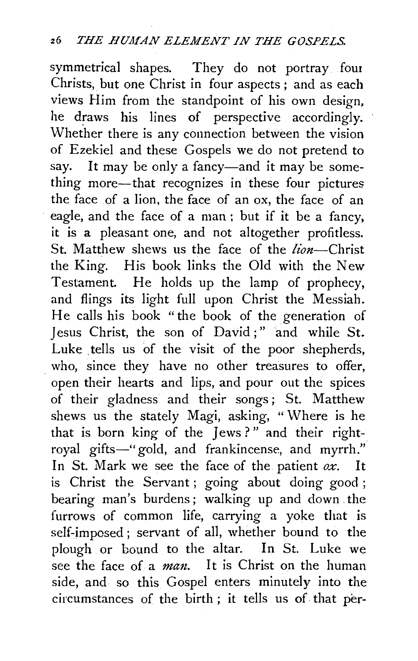symmetrical shapes. They do not portray. fout Christs, but one Christ in four aspects ; and as each views Him from the standpoint of his own design, he draws his lines of perspective accordingly. Whether there is any connection between the vision of Ezekiel and these Gospels we do not pretend to say. It may be only a fancy-and it may be something more-that recognizes in these four pictures the face of a lion, the face of an ox, the face of an eagle, and the face of a man : but if it be a fancy, it is a pleasant one, and not altogether profitless. St. Matthew shews us the face of the *lion*-Christ the King. His book links the Old with the New Testament. He holds up the lamp of prophecy, and flings its light full upon Christ the Messiah. He calls his book "the book of the generation of Jesus Christ, the son of David ; " and while St. Luke tells us of the visit of the poor shepherds, who, since they have no other treasures to offer, open their hearts and lips, and pour out the spices of their gladness and their songs ; St. Matthew shews us the stately Magi, asking, "Where is he that is born king of the Jews ? " and their rightroyal gifts-"gold, and frankincense, and myrrh." In St. Mark we see the face of the patient *ox.* It is Christ the Servant; going about doing good; bearing man's burdens; walking up and down. the furrows of common life, carrying a yoke that is self-imposed ; servant of all, whether bound to the plough or bound to the altar. In St. Luke we see the face of a *man*. It is Christ on the human side, and so this Gospel enters minutely into the circumstances of the birth ; it tells us of that per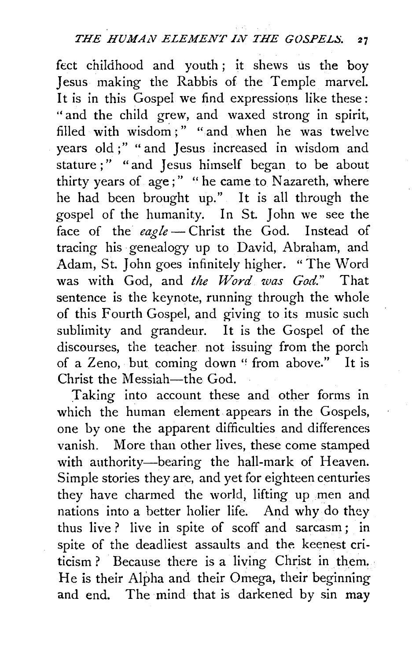feet childhood and youth ; it shews us the boy Jesus making the Rabbis of the Temple marvel. It is in this Gospel we find expressions like these : "and the child grew, and waxed strong in spirit, filled with wisdom;" "and when he was twelve years old ;" " and Jesus increased in wisdom and stature;" "and Jesus himself began to be about thirty years of age;" "he came to Nazareth, where he had been brought up." It is all through the gospel of the humanity. In St. John we see the face of the *eagle* - Christ the God. Instead of tracing his genealogy up to David, Abraham, and Adam, St. John goes infinitely higher. "The Word was with God, and *the Word was God."* That sentence is the keynote, running through the whole of this Fourth Gospel, and giving to its music such sublimity and grandeur. It is the Gospel of the discourses, the teacher. not issuing from the porch of a Zeno, but coming down "from above." It is Christ the Messiah-the God.

Taking into account these and other forms in which the human element appears in the Gospels, one by one the apparent difficulties and differences vanish. More than other lives, these come stamped with authority-bearing the hall-mark of Heaven. Simple stories they are, and yet for eighteen centuries they have charmed the world, lifting up men and nations into a better holier life. And why do they thus live ? live in spite of scoff and sarcasm ; in spite of the deadliest assaults and the keenest criticism? Because there is a living Christ in them. He is their Alpha and their Omega, their beginning and end. The mind that is darkened by sin may